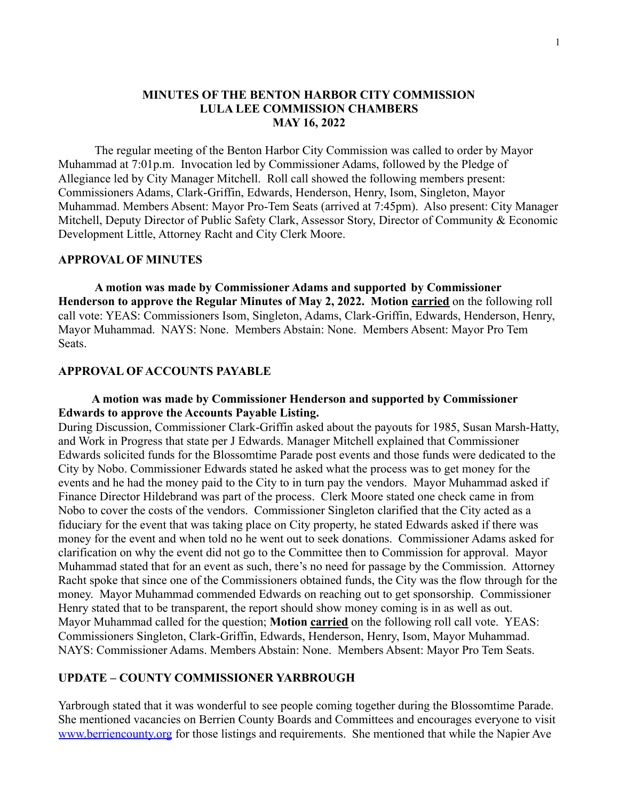## **MINUTES OF THE BENTON HARBOR CITY COMMISSION LULA LEE COMMISSION CHAMBERS MAY 16, 2022**

The regular meeting of the Benton Harbor City Commission was called to order by Mayor Muhammad at 7:01p.m. Invocation led by Commissioner Adams, followed by the Pledge of Allegiance led by City Manager Mitchell. Roll call showed the following members present: Commissioners Adams, Clark-Griffin, Edwards, Henderson, Henry, Isom, Singleton, Mayor Muhammad. Members Absent: Mayor Pro-Tem Seats (arrived at 7:45pm). Also present: City Manager Mitchell, Deputy Director of Public Safety Clark, Assessor Story, Director of Community & Economic Development Little, Attorney Racht and City Clerk Moore.

#### **APPROVAL OF MINUTES**

**A motion was made by Commissioner Adams and supported by Commissioner Henderson to approve the Regular Minutes of May 2, 2022. Motion carried** on the following roll call vote: YEAS: Commissioners Isom, Singleton, Adams, Clark-Griffin, Edwards, Henderson, Henry, Mayor Muhammad. NAYS: None. Members Abstain: None. Members Absent: Mayor Pro Tem Seats.

### **APPROVAL OF ACCOUNTS PAYABLE**

## **A motion was made by Commissioner Henderson and supported by Commissioner Edwards to approve the Accounts Payable Listing.**

During Discussion, Commissioner Clark-Griffin asked about the payouts for 1985, Susan Marsh-Hatty, and Work in Progress that state per J Edwards. Manager Mitchell explained that Commissioner Edwards solicited funds for the Blossomtime Parade post events and those funds were dedicated to the City by Nobo. Commissioner Edwards stated he asked what the process was to get money for the events and he had the money paid to the City to in turn pay the vendors. Mayor Muhammad asked if Finance Director Hildebrand was part of the process. Clerk Moore stated one check came in from Nobo to cover the costs of the vendors. Commissioner Singleton clarified that the City acted as a fiduciary for the event that was taking place on City property, he stated Edwards asked if there was money for the event and when told no he went out to seek donations. Commissioner Adams asked for clarification on why the event did not go to the Committee then to Commission for approval. Mayor Muhammad stated that for an event as such, there's no need for passage by the Commission. Attorney Racht spoke that since one of the Commissioners obtained funds, the City was the flow through for the money. Mayor Muhammad commended Edwards on reaching out to get sponsorship. Commissioner Henry stated that to be transparent, the report should show money coming is in as well as out. Mayor Muhammad called for the question; **Motion carried** on the following roll call vote. YEAS: Commissioners Singleton, Clark-Griffin, Edwards, Henderson, Henry, Isom, Mayor Muhammad. NAYS: Commissioner Adams. Members Abstain: None. Members Absent: Mayor Pro Tem Seats.

# **UPDATE – COUNTY COMMISSIONER YARBROUGH**

Yarbrough stated that it was wonderful to see people coming together during the Blossomtime Parade. She mentioned vacancies on Berrien County Boards and Committees and encourages everyone to visit [www.berriencounty.org](http://www.berriencounty.org) for those listings and requirements. She mentioned that while the Napier Ave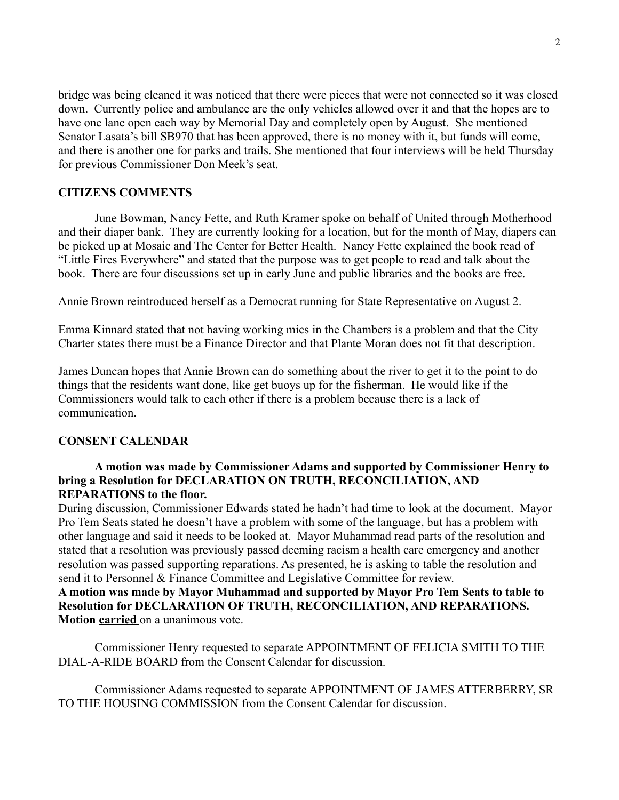bridge was being cleaned it was noticed that there were pieces that were not connected so it was closed down. Currently police and ambulance are the only vehicles allowed over it and that the hopes are to have one lane open each way by Memorial Day and completely open by August. She mentioned Senator Lasata's bill SB970 that has been approved, there is no money with it, but funds will come, and there is another one for parks and trails. She mentioned that four interviews will be held Thursday for previous Commissioner Don Meek's seat.

### **CITIZENS COMMENTS**

June Bowman, Nancy Fette, and Ruth Kramer spoke on behalf of United through Motherhood and their diaper bank. They are currently looking for a location, but for the month of May, diapers can be picked up at Mosaic and The Center for Better Health. Nancy Fette explained the book read of "Little Fires Everywhere" and stated that the purpose was to get people to read and talk about the book. There are four discussions set up in early June and public libraries and the books are free.

Annie Brown reintroduced herself as a Democrat running for State Representative on August 2.

Emma Kinnard stated that not having working mics in the Chambers is a problem and that the City Charter states there must be a Finance Director and that Plante Moran does not fit that description.

James Duncan hopes that Annie Brown can do something about the river to get it to the point to do things that the residents want done, like get buoys up for the fisherman. He would like if the Commissioners would talk to each other if there is a problem because there is a lack of communication.

### **CONSENT CALENDAR**

# **A motion was made by Commissioner Adams and supported by Commissioner Henry to bring a Resolution for DECLARATION ON TRUTH, RECONCILIATION, AND REPARATIONS to the floor.**

During discussion, Commissioner Edwards stated he hadn't had time to look at the document. Mayor Pro Tem Seats stated he doesn't have a problem with some of the language, but has a problem with other language and said it needs to be looked at. Mayor Muhammad read parts of the resolution and stated that a resolution was previously passed deeming racism a health care emergency and another resolution was passed supporting reparations. As presented, he is asking to table the resolution and send it to Personnel & Finance Committee and Legislative Committee for review.

**A motion was made by Mayor Muhammad and supported by Mayor Pro Tem Seats to table to Resolution for DECLARATION OF TRUTH, RECONCILIATION, AND REPARATIONS. Motion carried** on a unanimous vote.

Commissioner Henry requested to separate APPOINTMENT OF FELICIA SMITH TO THE DIAL-A-RIDE BOARD from the Consent Calendar for discussion.

Commissioner Adams requested to separate APPOINTMENT OF JAMES ATTERBERRY, SR TO THE HOUSING COMMISSION from the Consent Calendar for discussion.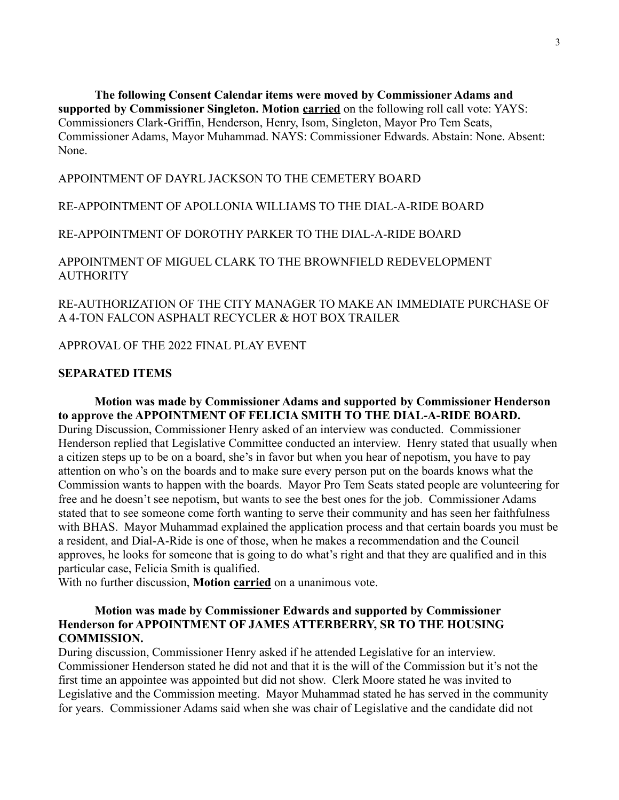**The following Consent Calendar items were moved by Commissioner Adams and supported by Commissioner Singleton. Motion carried** on the following roll call vote: YAYS: Commissioners Clark-Griffin, Henderson, Henry, Isom, Singleton, Mayor Pro Tem Seats, Commissioner Adams, Mayor Muhammad. NAYS: Commissioner Edwards. Abstain: None. Absent: None.

# APPOINTMENT OF DAYRL JACKSON TO THE CEMETERY BOARD

## RE-APPOINTMENT OF APOLLONIA WILLIAMS TO THE DIAL-A-RIDE BOARD

RE-APPOINTMENT OF DOROTHY PARKER TO THE DIAL-A-RIDE BOARD

APPOINTMENT OF MIGUEL CLARK TO THE BROWNFIELD REDEVELOPMENT **AUTHORITY** 

# RE-AUTHORIZATION OF THE CITY MANAGER TO MAKE AN IMMEDIATE PURCHASE OF A 4-TON FALCON ASPHALT RECYCLER & HOT BOX TRAILER

APPROVAL OF THE 2022 FINAL PLAY EVENT

## **SEPARATED ITEMS**

**Motion was made by Commissioner Adams and supported by Commissioner Henderson to approve the APPOINTMENT OF FELICIA SMITH TO THE DIAL-A-RIDE BOARD.** During Discussion, Commissioner Henry asked of an interview was conducted. Commissioner Henderson replied that Legislative Committee conducted an interview. Henry stated that usually when a citizen steps up to be on a board, she's in favor but when you hear of nepotism, you have to pay attention on who's on the boards and to make sure every person put on the boards knows what the Commission wants to happen with the boards. Mayor Pro Tem Seats stated people are volunteering for free and he doesn't see nepotism, but wants to see the best ones for the job. Commissioner Adams stated that to see someone come forth wanting to serve their community and has seen her faithfulness with BHAS. Mayor Muhammad explained the application process and that certain boards you must be a resident, and Dial-A-Ride is one of those, when he makes a recommendation and the Council approves, he looks for someone that is going to do what's right and that they are qualified and in this particular case, Felicia Smith is qualified.

With no further discussion, **Motion carried** on a unanimous vote.

# **Motion was made by Commissioner Edwards and supported by Commissioner Henderson for APPOINTMENT OF JAMES ATTERBERRY, SR TO THE HOUSING COMMISSION.**

During discussion, Commissioner Henry asked if he attended Legislative for an interview. Commissioner Henderson stated he did not and that it is the will of the Commission but it's not the first time an appointee was appointed but did not show. Clerk Moore stated he was invited to Legislative and the Commission meeting. Mayor Muhammad stated he has served in the community for years. Commissioner Adams said when she was chair of Legislative and the candidate did not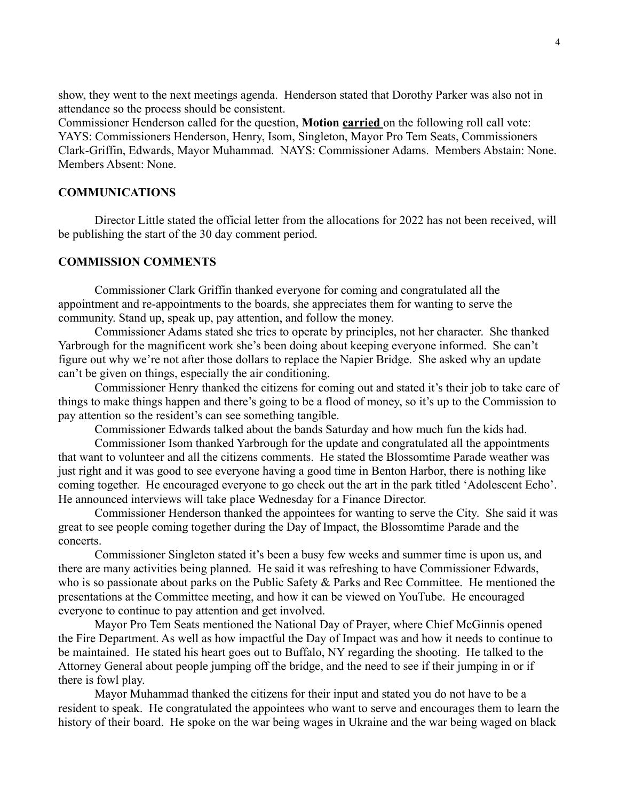show, they went to the next meetings agenda. Henderson stated that Dorothy Parker was also not in attendance so the process should be consistent.

Commissioner Henderson called for the question, **Motion carried** on the following roll call vote: YAYS: Commissioners Henderson, Henry, Isom, Singleton, Mayor Pro Tem Seats, Commissioners Clark-Griffin, Edwards, Mayor Muhammad. NAYS: Commissioner Adams. Members Abstain: None. Members Absent: None.

### **COMMUNICATIONS**

Director Little stated the official letter from the allocations for 2022 has not been received, will be publishing the start of the 30 day comment period.

#### **COMMISSION COMMENTS**

Commissioner Clark Griffin thanked everyone for coming and congratulated all the appointment and re-appointments to the boards, she appreciates them for wanting to serve the community. Stand up, speak up, pay attention, and follow the money.

Commissioner Adams stated she tries to operate by principles, not her character. She thanked Yarbrough for the magnificent work she's been doing about keeping everyone informed. She can't figure out why we're not after those dollars to replace the Napier Bridge. She asked why an update can't be given on things, especially the air conditioning.

Commissioner Henry thanked the citizens for coming out and stated it's their job to take care of things to make things happen and there's going to be a flood of money, so it's up to the Commission to pay attention so the resident's can see something tangible.

Commissioner Edwards talked about the bands Saturday and how much fun the kids had.

Commissioner Isom thanked Yarbrough for the update and congratulated all the appointments that want to volunteer and all the citizens comments. He stated the Blossomtime Parade weather was just right and it was good to see everyone having a good time in Benton Harbor, there is nothing like coming together. He encouraged everyone to go check out the art in the park titled 'Adolescent Echo'. He announced interviews will take place Wednesday for a Finance Director.

Commissioner Henderson thanked the appointees for wanting to serve the City. She said it was great to see people coming together during the Day of Impact, the Blossomtime Parade and the concerts.

Commissioner Singleton stated it's been a busy few weeks and summer time is upon us, and there are many activities being planned. He said it was refreshing to have Commissioner Edwards, who is so passionate about parks on the Public Safety & Parks and Rec Committee. He mentioned the presentations at the Committee meeting, and how it can be viewed on YouTube. He encouraged everyone to continue to pay attention and get involved.

Mayor Pro Tem Seats mentioned the National Day of Prayer, where Chief McGinnis opened the Fire Department. As well as how impactful the Day of Impact was and how it needs to continue to be maintained. He stated his heart goes out to Buffalo, NY regarding the shooting. He talked to the Attorney General about people jumping off the bridge, and the need to see if their jumping in or if there is fowl play.

Mayor Muhammad thanked the citizens for their input and stated you do not have to be a resident to speak. He congratulated the appointees who want to serve and encourages them to learn the history of their board. He spoke on the war being wages in Ukraine and the war being waged on black